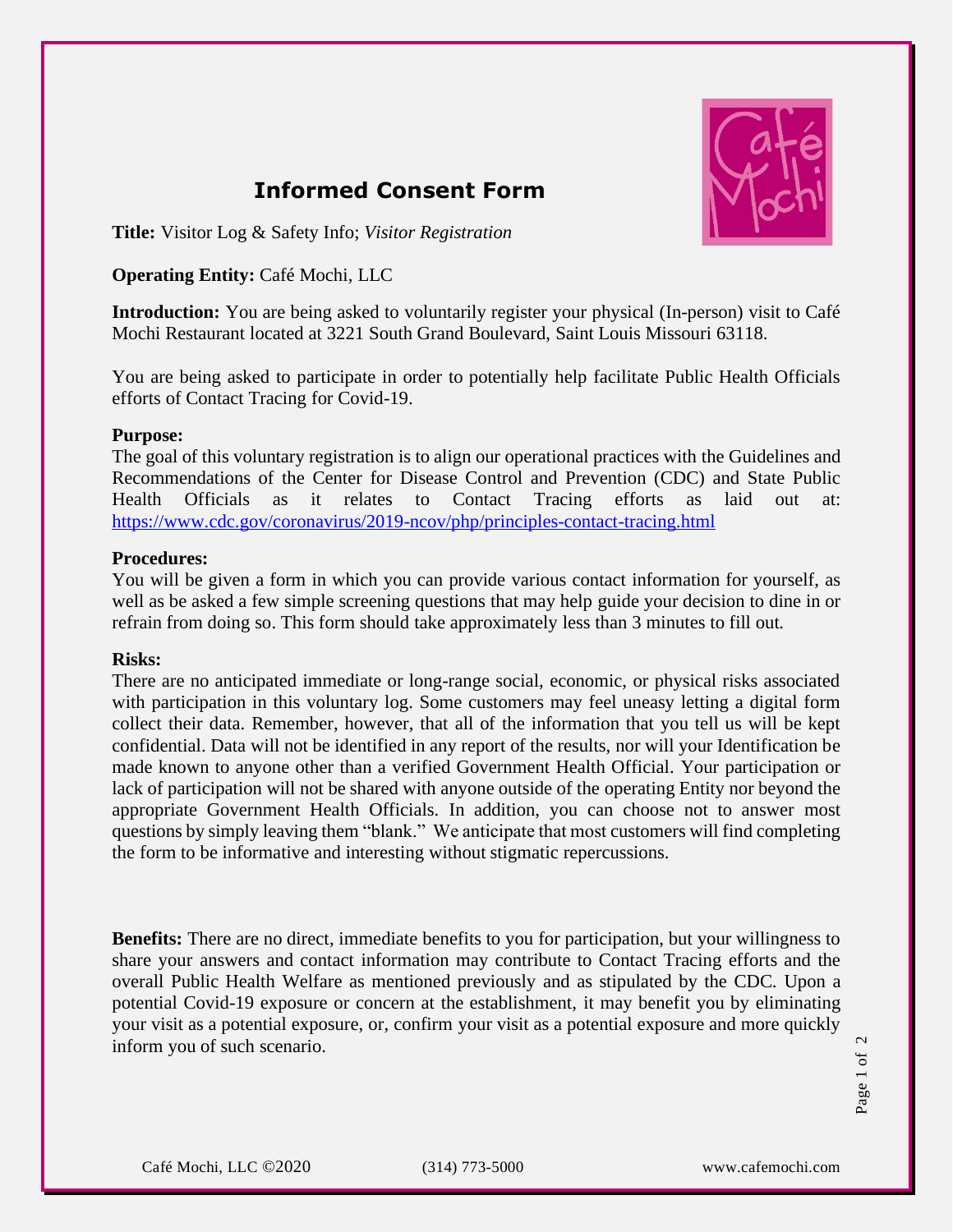

# **Informed Consent Form**

**Title:** Visitor Log & Safety Info; *Visitor Registration*

## **Operating Entity:** Café Mochi, LLC

**Introduction:** You are being asked to voluntarily register your physical (In-person) visit to Café Mochi Restaurant located at 3221 South Grand Boulevard, Saint Louis Missouri 63118.

You are being asked to participate in order to potentially help facilitate Public Health Officials efforts of Contact Tracing for Covid-19.

#### **Purpose:**

The goal of this voluntary registration is to align our operational practices with the Guidelines and Recommendations of the Center for Disease Control and Prevention (CDC) and State Public Health Officials as it relates to Contact Tracing efforts as laid out at: <https://www.cdc.gov/coronavirus/2019-ncov/php/principles-contact-tracing.html>

#### **Procedures:**

You will be given a form in which you can provide various contact information for yourself, as well as be asked a few simple screening questions that may help guide your decision to dine in or refrain from doing so. This form should take approximately less than 3 minutes to fill out.

#### **Risks:**

There are no anticipated immediate or long-range social, economic, or physical risks associated with participation in this voluntary log. Some customers may feel uneasy letting a digital form collect their data. Remember, however, that all of the information that you tell us will be kept confidential. Data will not be identified in any report of the results, nor will your Identification be made known to anyone other than a verified Government Health Official. Your participation or lack of participation will not be shared with anyone outside of the operating Entity nor beyond the appropriate Government Health Officials. In addition, you can choose not to answer most questions by simply leaving them "blank." We anticipate that most customers will find completing the form to be informative and interesting without stigmatic repercussions.

**Benefits:** There are no direct, immediate benefits to you for participation, but your willingness to share your answers and contact information may contribute to Contact Tracing efforts and the overall Public Health Welfare as mentioned previously and as stipulated by the CDC. Upon a potential Covid-19 exposure or concern at the establishment, it may benefit you by eliminating your visit as a potential exposure, or, confirm your visit as a potential exposure and more quickly inform you of such scenario.